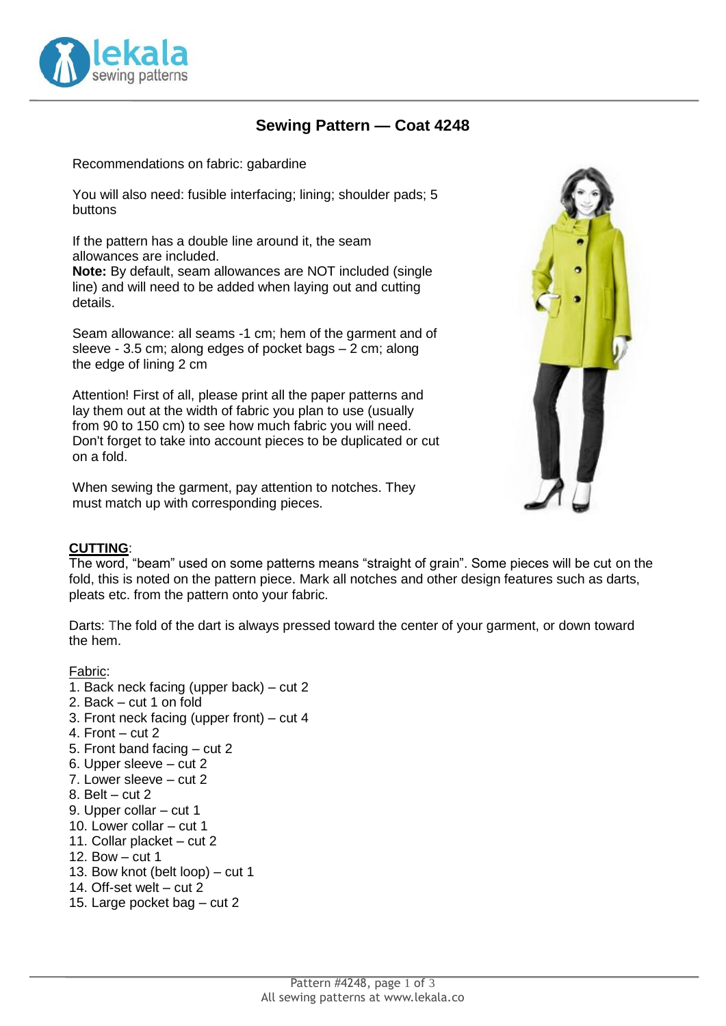

# **Sewing Pattern — Coat 4248**

Recommendations on fabric: gabardine

You will also need: fusible interfacing; lining; shoulder pads; 5 buttons

If the pattern has a double line around it, the seam allowances are included.

**Note:** By default, seam allowances are NOT included (single line) and will need to be added when laying out and cutting details.

Seam allowance: all seams -1 cm; hem of the garment and of sleeve - 3.5 cm; along edges of pocket bags – 2 cm; along the edge of lining 2 cm

Attention! First of all, please print all the paper patterns and lay them out at the width of fabric you plan to use (usually from 90 to 150 cm) to see how much fabric you will need. Don't forget to take into account pieces to be duplicated or cut on a fold.

When sewing the garment, pay attention to notches. They must match up with corresponding pieces.



#### **CUTTING**:

The word, "beam" used on some patterns means "straight of grain". Some pieces will be cut on the fold, this is noted on the pattern piece. Mark all notches and other design features such as darts, pleats etc. from the pattern onto your fabric.

Darts: The fold of the dart is always pressed toward the center of your garment, or down toward the hem.

#### Fabric:

- 1. Back neck facing (upper back) cut 2
- 2. Back cut 1 on fold
- 3. Front neck facing (upper front) cut 4
- 4. Front cut 2
- 5. Front band facing cut 2
- 6. Upper sleeve cut 2
- 7. Lower sleeve cut 2
- 8. Belt cut 2
- 9. Upper collar cut 1
- 10. Lower collar cut 1
- 11. Collar placket cut 2
- 12. Bow cut 1
- 13. Bow knot (belt loop) cut 1
- 14. Off-set welt cut 2
- 15. Large pocket bag cut 2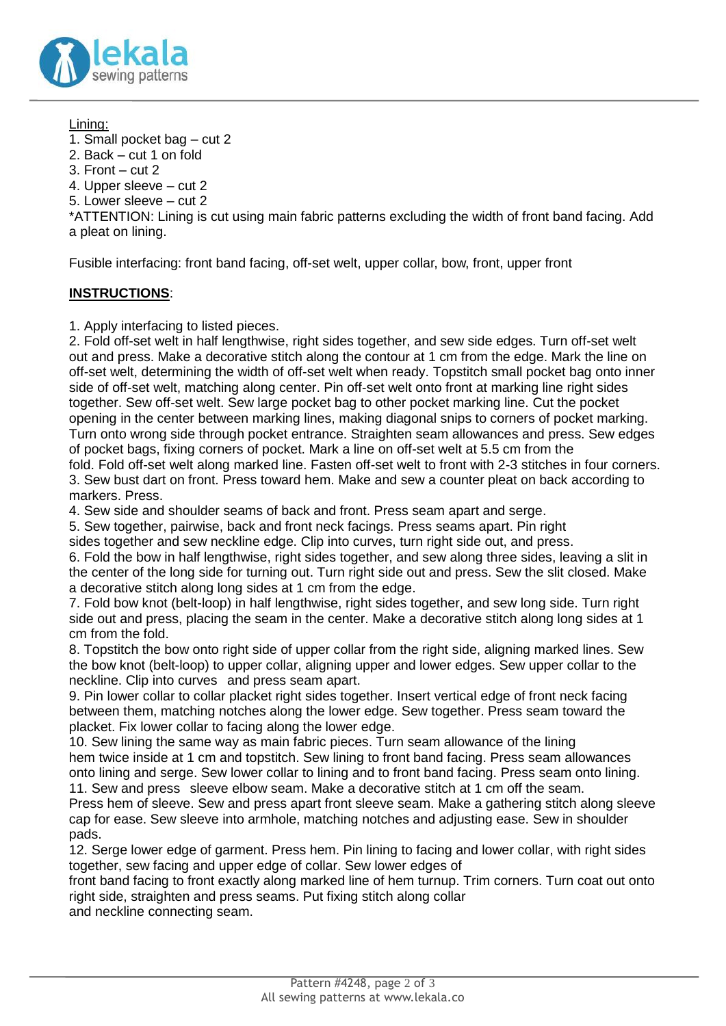

Lining:

1. Small pocket bag – cut 2

- 2. Back cut 1 on fold
- 3. Front  $cut 2$

4. Upper sleeve – cut 2

5. Lower sleeve – cut 2

\*ATTENTION: Lining is cut using main fabric patterns excluding the width of front band facing. Add a pleat on lining.

Fusible interfacing: front band facing, off-set welt, upper collar, bow, front, upper front

## **INSTRUCTIONS**:

1. Apply interfacing to listed pieces.

2. Fold off-set welt in half lengthwise, right sides together, and sew side edges. Turn off-set welt out and press. Make a decorative stitch along the contour at 1 cm from the edge. Mark the line on off-set welt, determining the width of off-set welt when ready. Topstitch small pocket bag onto inner side of off-set welt, matching along center. Pin off-set welt onto front at marking line right sides together. Sew off-set welt. Sew large pocket bag to other pocket marking line. Cut the pocket opening in the center between marking lines, making diagonal snips to corners of pocket marking. Turn onto wrong side through pocket entrance. Straighten seam allowances and press. Sew edges of pocket bags, fixing corners of pocket. Mark a line on off-set welt at 5.5 cm from the fold. Fold off-set welt along marked line. Fasten off-set welt to front with 2-3 stitches in four corners.

3. Sew bust dart on front. Press toward hem. Make and sew a counter pleat on back according to markers. Press.

4. Sew side and shoulder seams of back and front. Press seam apart and serge.

5. Sew together, pairwise, back and front neck facings. Press seams apart. Pin right sides together and sew neckline edge. Clip into curves, turn right side out, and press.

6. Fold the bow in half lengthwise, right sides together, and sew along three sides, leaving a slit in the center of the long side for turning out. Turn right side out and press. Sew the slit closed. Make a decorative stitch along long sides at 1 cm from the edge.

7. Fold bow knot (belt-loop) in half lengthwise, right sides together, and sew long side. Turn right side out and press, placing the seam in the center. Make a decorative stitch along long sides at 1 cm from the fold.

8. Topstitch the bow onto right side of upper collar from the right side, aligning marked lines. Sew the bow knot (belt-loop) to upper collar, aligning upper and lower edges. Sew upper collar to the neckline. Clip into curves and press seam apart.

9. Pin lower collar to collar placket right sides together. Insert vertical edge of front neck facing between them, matching notches along the lower edge. Sew together. Press seam toward the placket. Fix lower collar to facing along the lower edge.

10. Sew lining the same way as main fabric pieces. Turn seam allowance of the lining hem twice inside at 1 cm and topstitch. Sew lining to front band facing. Press seam allowances onto lining and serge. Sew lower collar to lining and to front band facing. Press seam onto lining. 11. Sew and press sleeve elbow seam. Make a decorative stitch at 1 cm off the seam.

Press hem of sleeve. Sew and press apart front sleeve seam. Make a gathering stitch along sleeve cap for ease. Sew sleeve into armhole, matching notches and adjusting ease. Sew in shoulder pads.

12. Serge lower edge of garment. Press hem. Pin lining to facing and lower collar, with right sides together, sew facing and upper edge of collar. Sew lower edges of

front band facing to front exactly along marked line of hem turnup. Trim corners. Turn coat out onto right side, straighten and press seams. Put fixing stitch along collar

and neckline connecting seam.